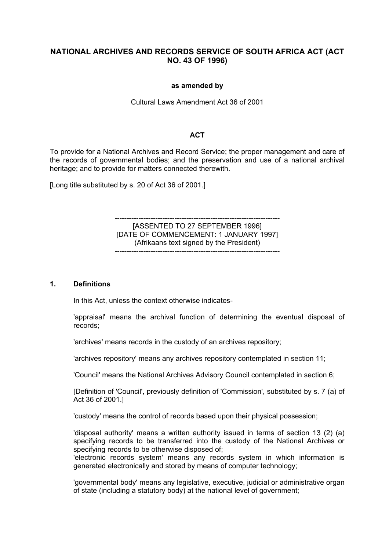# **NATIONAL ARCHIVES AND RECORDS SERVICE OF SOUTH AFRICA ACT (ACT NO. 43 OF 1996)**

#### **as amended by**

#### Cultural Laws Amendment Act 36 of 2001

### **ACT**

To provide for a National Archives and Record Service; the proper management and care of the records of governmental bodies; and the preservation and use of a national archival heritage; and to provide for matters connected therewith.

[Long title substituted by s. 20 of Act 36 of 2001.]

--------------------------------------------------------------------- [ASSENTED TO 27 SEPTEMBER 1996] [DATE OF COMMENCEMENT: 1 JANUARY 1997] (Afrikaans text signed by the President)

---------------------------------------------------------------------

#### **1. Definitions**

In this Act, unless the context otherwise indicates-

'appraisal' means the archival function of determining the eventual disposal of records;

'archives' means records in the custody of an archives repository;

'archives repository' means any archives repository contemplated in section 11;

'Council' means the National Archives Advisory Council contemplated in section 6;

[Definition of 'Council', previously definition of 'Commission', substituted by s. 7 (a) of Act 36 of 2001.]

'custody' means the control of records based upon their physical possession;

'disposal authority' means a written authority issued in terms of section 13 (2) (a) specifying records to be transferred into the custody of the National Archives or specifying records to be otherwise disposed of;

'electronic records system' means any records system in which information is generated electronically and stored by means of computer technology;

'governmental body' means any legislative, executive, judicial or administrative organ of state (including a statutory body) at the national level of government;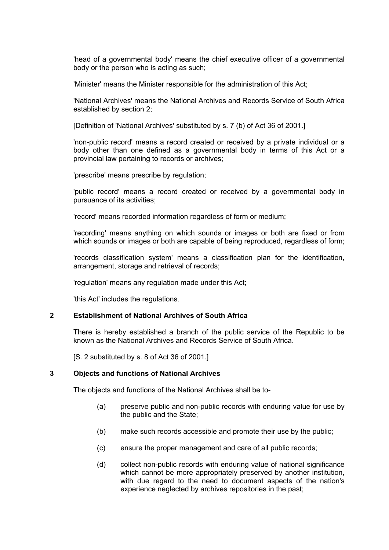'head of a governmental body' means the chief executive officer of a governmental body or the person who is acting as such;

'Minister' means the Minister responsible for the administration of this Act;

'National Archives' means the National Archives and Records Service of South Africa established by section 2;

[Definition of 'National Archives' substituted by s. 7 (b) of Act 36 of 2001.]

'non-public record' means a record created or received by a private individual or a body other than one defined as a governmental body in terms of this Act or a provincial law pertaining to records or archives;

'prescribe' means prescribe by regulation;

'public record' means a record created or received by a governmental body in pursuance of its activities;

'record' means recorded information regardless of form or medium;

'recording' means anything on which sounds or images or both are fixed or from which sounds or images or both are capable of being reproduced, regardless of form;

'records classification system' means a classification plan for the identification, arrangement, storage and retrieval of records;

'regulation' means any regulation made under this Act;

'this Act' includes the regulations.

#### **2 Establishment of National Archives of South Africa**

There is hereby established a branch of the public service of the Republic to be known as the National Archives and Records Service of South Africa.

[S. 2 substituted by s. 8 of Act 36 of 2001.]

#### **3 Objects and functions of National Archives**

The objects and functions of the National Archives shall be to-

- (a) preserve public and non-public records with enduring value for use by the public and the State;
- (b) make such records accessible and promote their use by the public;
- (c) ensure the proper management and care of all public records;
- (d) collect non-public records with enduring value of national significance which cannot be more appropriately preserved by another institution, with due regard to the need to document aspects of the nation's experience neglected by archives repositories in the past;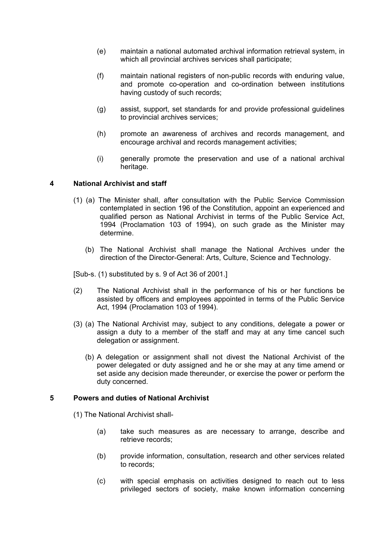- (e) maintain a national automated archival information retrieval system, in which all provincial archives services shall participate;
- (f) maintain national registers of non-public records with enduring value, and promote co-operation and co-ordination between institutions having custody of such records;
- (g) assist, support, set standards for and provide professional guidelines to provincial archives services;
- (h) promote an awareness of archives and records management, and encourage archival and records management activities;
- (i) generally promote the preservation and use of a national archival heritage.

## **4 National Archivist and staff**

- (1) (a) The Minister shall, after consultation with the Public Service Commission contemplated in section 196 of the Constitution, appoint an experienced and qualified person as National Archivist in terms of the Public Service Act, 1994 (Proclamation 103 of 1994), on such grade as the Minister may determine.
	- (b) The National Archivist shall manage the National Archives under the direction of the Director-General: Arts, Culture, Science and Technology.

[Sub-s. (1) substituted by s. 9 of Act 36 of 2001.]

- (2) The National Archivist shall in the performance of his or her functions be assisted by officers and employees appointed in terms of the Public Service Act, 1994 (Proclamation 103 of 1994).
- (3) (a) The National Archivist may, subject to any conditions, delegate a power or assign a duty to a member of the staff and may at any time cancel such delegation or assignment.
	- (b) A delegation or assignment shall not divest the National Archivist of the power delegated or duty assigned and he or she may at any time amend or set aside any decision made thereunder, or exercise the power or perform the duty concerned.

#### **5 Powers and duties of National Archivist**

(1) The National Archivist shall-

- (a) take such measures as are necessary to arrange, describe and retrieve records;
- (b) provide information, consultation, research and other services related to records;
- (c) with special emphasis on activities designed to reach out to less privileged sectors of society, make known information concerning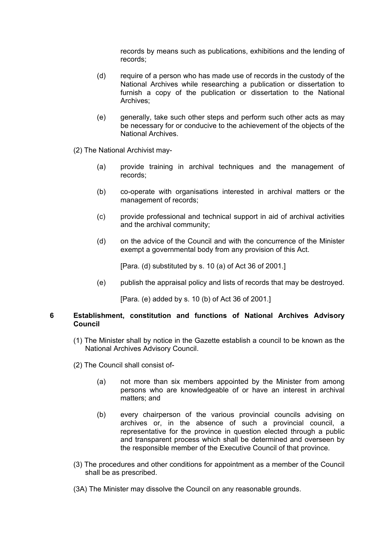records by means such as publications, exhibitions and the lending of records;

- (d) require of a person who has made use of records in the custody of the National Archives while researching a publication or dissertation to furnish a copy of the publication or dissertation to the National Archives;
- (e) generally, take such other steps and perform such other acts as may be necessary for or conducive to the achievement of the objects of the National Archives.
- (2) The National Archivist may-
	- (a) provide training in archival techniques and the management of records;
	- (b) co-operate with organisations interested in archival matters or the management of records;
	- (c) provide professional and technical support in aid of archival activities and the archival community;
	- (d) on the advice of the Council and with the concurrence of the Minister exempt a governmental body from any provision of this Act.

[Para. (d) substituted by s. 10 (a) of Act 36 of 2001.]

(e) publish the appraisal policy and lists of records that may be destroyed.

[Para. (e) added by s. 10 (b) of Act 36 of 2001.]

#### **6 Establishment, constitution and functions of National Archives Advisory Council**

- (1) The Minister shall by notice in the Gazette establish a council to be known as the National Archives Advisory Council.
- (2) The Council shall consist of-
	- (a) not more than six members appointed by the Minister from among persons who are knowledgeable of or have an interest in archival matters; and
	- (b) every chairperson of the various provincial councils advising on archives or, in the absence of such a provincial council, a representative for the province in question elected through a public and transparent process which shall be determined and overseen by the responsible member of the Executive Council of that province.
- (3) The procedures and other conditions for appointment as a member of the Council shall be as prescribed.
- (3A) The Minister may dissolve the Council on any reasonable grounds.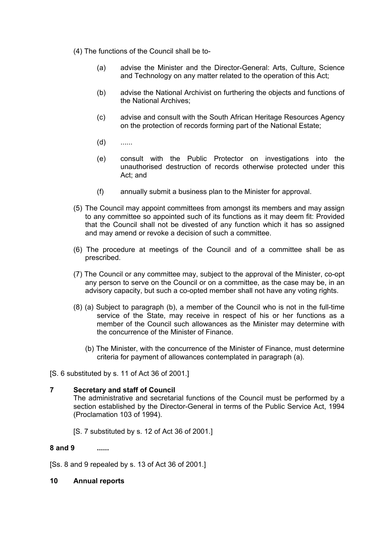- (4) The functions of the Council shall be to-
	- (a) advise the Minister and the Director-General: Arts, Culture, Science and Technology on any matter related to the operation of this Act;
	- (b) advise the National Archivist on furthering the objects and functions of the National Archives;
	- (c) advise and consult with the South African Heritage Resources Agency on the protection of records forming part of the National Estate;
	- (d) ......
	- (e) consult with the Public Protector on investigations into the unauthorised destruction of records otherwise protected under this Act; and
	- (f) annually submit a business plan to the Minister for approval.
- (5) The Council may appoint committees from amongst its members and may assign to any committee so appointed such of its functions as it may deem fit: Provided that the Council shall not be divested of any function which it has so assigned and may amend or revoke a decision of such a committee.
- (6) The procedure at meetings of the Council and of a committee shall be as prescribed.
- (7) The Council or any committee may, subject to the approval of the Minister, co-opt any person to serve on the Council or on a committee, as the case may be, in an advisory capacity, but such a co-opted member shall not have any voting rights.
- (8) (a) Subject to paragraph (b), a member of the Council who is not in the full-time service of the State, may receive in respect of his or her functions as a member of the Council such allowances as the Minister may determine with the concurrence of the Minister of Finance.
	- (b) The Minister, with the concurrence of the Minister of Finance, must determine criteria for payment of allowances contemplated in paragraph (a).
- [S. 6 substituted by s. 11 of Act 36 of 2001.]

# **7 Secretary and staff of Council**

The administrative and secretarial functions of the Council must be performed by a section established by the Director-General in terms of the Public Service Act, 1994 (Proclamation 103 of 1994).

[S. 7 substituted by s. 12 of Act 36 of 2001.]

#### **8 and 9 ......**

[Ss. 8 and 9 repealed by s. 13 of Act 36 of 2001.]

#### **10 Annual reports**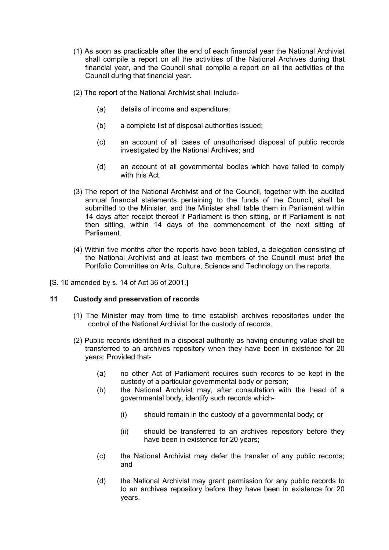- (1) As soon as practicable after the end of each financial year the National Archivist shall compile a report on all the activities of the National Archives during that financial year, and the Council shall compile a report on all the activities of the Council during that financial year.
- (2) The report of the National Archivist shall include-
	- (a) details of income and expenditure;
	- (b) a complete list of disposal authorities issued;
	- (c) an account of all cases of unauthorised disposal of public records investigated by the National Archives; and
	- (d) an account of all governmental bodies which have failed to comply with this Act.
- (3) The report of the National Archivist and of the Council, together with the audited annual financial statements pertaining to the funds of the Council, shall be submitted to the Minister, and the Minister shall table them in Parliament within 14 days after receipt thereof if Parliament is then sitting, or if Parliament is not then sitting, within 14 days of the commencement of the next sitting of Parliament.
- (4) Within five months after the reports have been tabled, a delegation consisting of the National Archivist and at least two members of the Council must brief the Portfolio Committee on Arts, Culture, Science and Technology on the reports.
- [S. 10 amended by s. 14 of Act 36 of 2001.]

## **11 Custody and preservation of records**

- (1) The Minister may from time to time establish archives repositories under the control of the National Archivist for the custody of records.
- (2) Public records identified in a disposal authority as having enduring value shall be transferred to an archives repository when they have been in existence for 20 years: Provided that-
	- (a) no other Act of Parliament requires such records to be kept in the custody of a particular governmental body or person;
	- (b) the National Archivist may, after consultation with the head of a governmental body, identify such records which-
		- (i) should remain in the custody of a governmental body; or
		- (ii) should be transferred to an archives repository before they have been in existence for 20 years;
	- (c) the National Archivist may defer the transfer of any public records; and
	- (d) the National Archivist may grant permission for any public records to to an archives repository before they have been in existence for 20 years.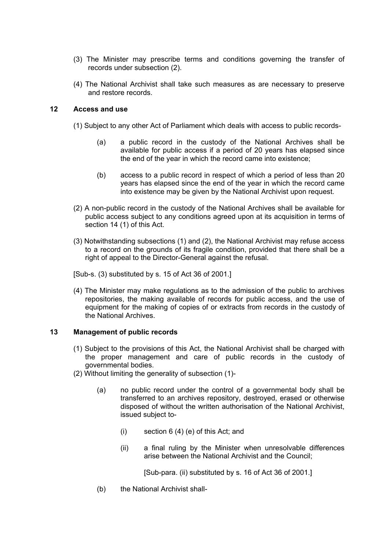- (3) The Minister may prescribe terms and conditions governing the transfer of records under subsection (2).
- (4) The National Archivist shall take such measures as are necessary to preserve and restore records.

## **12 Access and use**

- (1) Subject to any other Act of Parliament which deals with access to public records-
	- (a) a public record in the custody of the National Archives shall be available for public access if a period of 20 years has elapsed since the end of the year in which the record came into existence;
	- (b) access to a public record in respect of which a period of less than 20 years has elapsed since the end of the year in which the record came into existence may be given by the National Archivist upon request.
- (2) A non-public record in the custody of the National Archives shall be available for public access subject to any conditions agreed upon at its acquisition in terms of section 14 (1) of this Act.
- (3) Notwithstanding subsections (1) and (2), the National Archivist may refuse access to a record on the grounds of its fragile condition, provided that there shall be a right of appeal to the Director-General against the refusal.
- [Sub-s. (3) substituted by s. 15 of Act 36 of 2001.]
- (4) The Minister may make regulations as to the admission of the public to archives repositories, the making available of records for public access, and the use of equipment for the making of copies of or extracts from records in the custody of the National Archives.

#### **13 Management of public records**

- (1) Subject to the provisions of this Act, the National Archivist shall be charged with the proper management and care of public records in the custody of governmental bodies.
- (2) Without limiting the generality of subsection (1)-
	- (a) no public record under the control of a governmental body shall be transferred to an archives repository, destroyed, erased or otherwise disposed of without the written authorisation of the National Archivist, issued subject to-
		- (i) section 6 (4) (e) of this Act; and
		- (ii) a final ruling by the Minister when unresolvable differences arise between the National Archivist and the Council;

[Sub-para. (ii) substituted by s. 16 of Act 36 of 2001.]

(b) the National Archivist shall-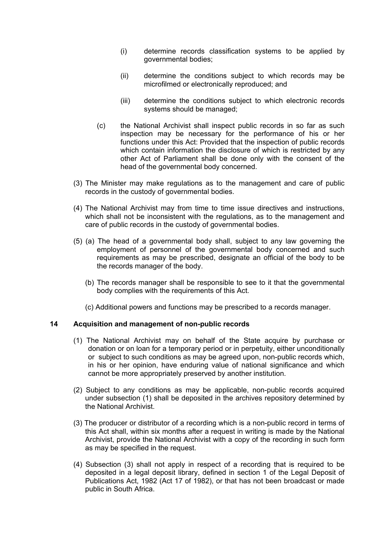- (i) determine records classification systems to be applied by governmental bodies;
- (ii) determine the conditions subject to which records may be microfilmed or electronically reproduced; and
- (iii) determine the conditions subject to which electronic records systems should be managed;
- (c) the National Archivist shall inspect public records in so far as such inspection may be necessary for the performance of his or her functions under this Act: Provided that the inspection of public records which contain information the disclosure of which is restricted by any other Act of Parliament shall be done only with the consent of the head of the governmental body concerned.
- (3) The Minister may make regulations as to the management and care of public records in the custody of governmental bodies.
- (4) The National Archivist may from time to time issue directives and instructions, which shall not be inconsistent with the regulations, as to the management and care of public records in the custody of governmental bodies.
- (5) (a) The head of a governmental body shall, subject to any law governing the employment of personnel of the governmental body concerned and such requirements as may be prescribed, designate an official of the body to be the records manager of the body.
	- (b) The records manager shall be responsible to see to it that the governmental body complies with the requirements of this Act.
	- (c) Additional powers and functions may be prescribed to a records manager.

#### **14 Acquisition and management of non-public records**

- (1) The National Archivist may on behalf of the State acquire by purchase or donation or on loan for a temporary period or in perpetuity, either unconditionally or subject to such conditions as may be agreed upon, non-public records which, in his or her opinion, have enduring value of national significance and which cannot be more appropriately preserved by another institution.
- (2) Subject to any conditions as may be applicable, non-public records acquired under subsection (1) shall be deposited in the archives repository determined by the National Archivist.
- (3) The producer or distributor of a recording which is a non-public record in terms of this Act shall, within six months after a request in writing is made by the National Archivist, provide the National Archivist with a copy of the recording in such form as may be specified in the request.
- (4) Subsection (3) shall not apply in respect of a recording that is required to be deposited in a legal deposit library, defined in section 1 of the Legal Deposit of Publications Act, 1982 (Act 17 of 1982), or that has not been broadcast or made public in South Africa.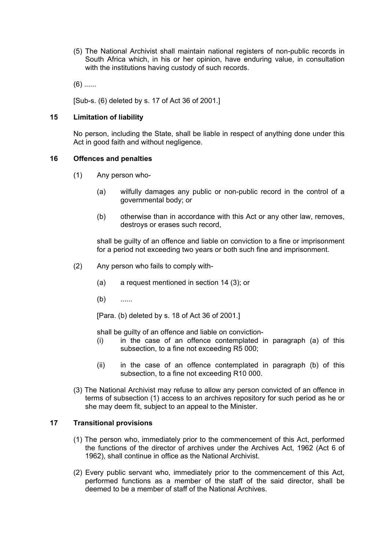(5) The National Archivist shall maintain national registers of non-public records in South Africa which, in his or her opinion, have enduring value, in consultation with the institutions having custody of such records.

 $(6)$  ......

[Sub-s. (6) deleted by s. 17 of Act 36 of 2001.]

## **15 Limitation of liability**

No person, including the State, shall be liable in respect of anything done under this Act in good faith and without negligence.

## **16 Offences and penalties**

- (1) Any person who-
	- (a) wilfully damages any public or non-public record in the control of a governmental body; or
	- (b) otherwise than in accordance with this Act or any other law, removes, destroys or erases such record,

shall be guilty of an offence and liable on conviction to a fine or imprisonment for a period not exceeding two years or both such fine and imprisonment.

- (2) Any person who fails to comply with-
	- (a) a request mentioned in section 14 (3); or
	- (b) ......

[Para. (b) deleted by s. 18 of Act 36 of 2001.]

shall be guilty of an offence and liable on conviction-

- (i) in the case of an offence contemplated in paragraph (a) of this subsection, to a fine not exceeding R5 000;
- (ii) in the case of an offence contemplated in paragraph (b) of this subsection, to a fine not exceeding R10 000.
- (3) The National Archivist may refuse to allow any person convicted of an offence in terms of subsection (1) access to an archives repository for such period as he or she may deem fit, subject to an appeal to the Minister.

## **17 Transitional provisions**

- (1) The person who, immediately prior to the commencement of this Act, performed the functions of the director of archives under the Archives Act, 1962 (Act 6 of 1962), shall continue in office as the National Archivist.
- (2) Every public servant who, immediately prior to the commencement of this Act, performed functions as a member of the staff of the said director, shall be deemed to be a member of staff of the National Archives.